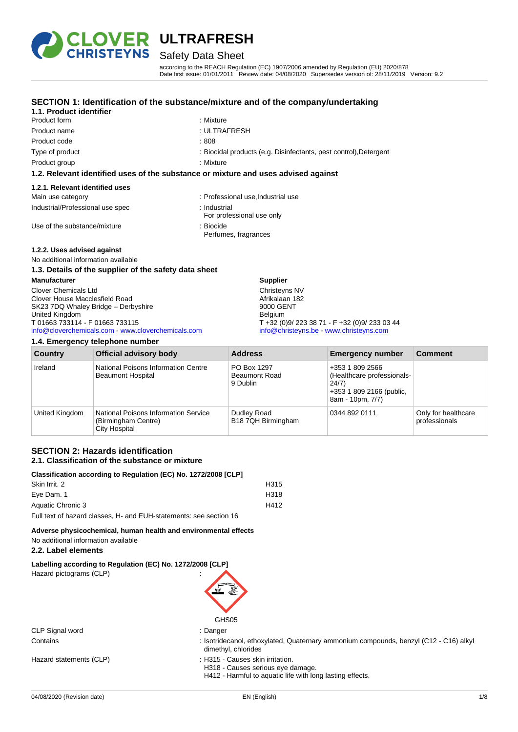

## Safety Data Sheet

according to the REACH Regulation (EC) 1907/2006 amended by Regulation (EU) 2020/878 Date first issue: 01/01/2011 Review date: 04/08/2020 Supersedes version of: 28/11/2019 Version: 9.2

## **SECTION 1: Identification of the substance/mixture and of the company/undertaking**

#### **1.1. Product identifier** Product form : Nixture : Mixture

Product name : ULTRAFRESH Product code : 808

- 
- 
- 
- Type of product : Biocidal products (e.g. Disinfectants, pest control), Detergent
- Product group **: Mixture**

## **1.2. Relevant identified uses of the substance or mixture and uses advised against**

## **1.2.1. Relevant identified uses**

| Main use category                | : Professional use, Industrial use        |
|----------------------------------|-------------------------------------------|
| Industrial/Professional use spec | : Industrial<br>For professional use only |
| Use of the substance/mixture     | : Biocide<br>Perfumes, fragrances         |

## **1.2.2. Uses advised against**

#### No additional information available **1.3. Details of the supplier of the safety data sheet**

| <b>Manufacturer</b>                              | <b>Supplier</b>                               |  |
|--------------------------------------------------|-----------------------------------------------|--|
| Clover Chemicals Ltd                             | Christeyns NV                                 |  |
| Clover House Macclesfield Road                   | Afrikalaan 182                                |  |
| SK23 7DQ Whaley Bridge - Derbyshire              | 9000 GENT                                     |  |
| United Kingdom                                   | <b>Belgium</b>                                |  |
| T 01663 733114 - F 01663 733115                  | T +32 (0)9/ 223 38 71 - F +32 (0)9/ 233 03 44 |  |
| info@cloverchemicals.com www.cloverchemicals.com | info@christeyns.be - www.christeyns.com       |  |
|                                                  |                                               |  |

### **1.4. Emergency telephone number**

| <b>Country</b> | <b>Official advisory body</b>                                                              | <b>Address</b>                                  | <b>Emergency number</b>                                                                                | <b>Comment</b>                       |
|----------------|--------------------------------------------------------------------------------------------|-------------------------------------------------|--------------------------------------------------------------------------------------------------------|--------------------------------------|
| Ireland        | National Poisons Information Centre<br><b>Beaumont Hospital</b>                            | PO Box 1297<br><b>Beaumont Road</b><br>9 Dublin | +353 1 809 2566<br>(Healthcare professionals-<br>24/7)<br>+353 1 809 2166 (public,<br>8am - 10pm, 7/7) |                                      |
| United Kingdom | <b>National Poisons Information Service</b><br>(Birmingham Centre)<br><b>City Hospital</b> | Dudley Road<br>B18 7QH Birmingham               | 0344 892 0111                                                                                          | Only for healthcare<br>professionals |

#### **SECTION 2: Hazards identification 2.1. Classification of the substance or mixture**

| Classification according to Regulation (EC) No. 1272/2008 [CLP]    |      |
|--------------------------------------------------------------------|------|
| Skin Irrit, 2                                                      | H315 |
| Eve Dam. 1                                                         | H318 |
| Aquatic Chronic 3                                                  | H412 |
| Full text of hazard classes, H- and EUH-statements: see section 16 |      |

**Adverse physicochemical, human health and environmental effects** No additional information available

## **2.2. Label elements**

**Labelling according to Regulation (EC) No. 1272/2008 [CLP]**

Hazard pictograms (CLP) :



|                         | GHS05                                                                                                        |
|-------------------------|--------------------------------------------------------------------------------------------------------------|
| CLP Signal word         | : Danger                                                                                                     |
| Contains                | : Isotridecanol, ethoxylated, Quaternary ammonium compounds, benzyl (C12 - C16) alkyl<br>dimethyl, chlorides |
| Hazard statements (CLP) | : H315 - Causes skin irritation.                                                                             |

H318 - Causes serious eye damage.

H412 - Harmful to aquatic life with long lasting effects.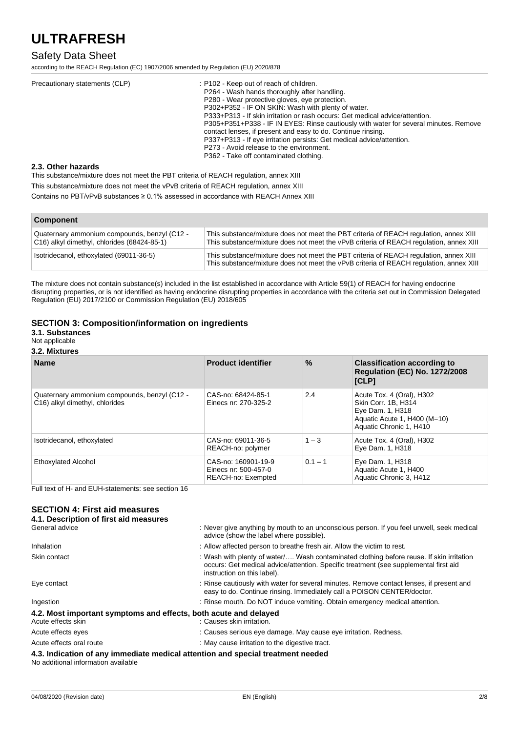## Safety Data Sheet

according to the REACH Regulation (EC) 1907/2006 amended by Regulation (EU) 2020/878

| Precautionary statements (CLP) | : P102 - Keep out of reach of children.<br>P264 - Wash hands thoroughly after handling.<br>P280 - Wear protective gloves, eve protection.<br>P302+P352 - IF ON SKIN: Wash with plenty of water.<br>P333+P313 - If skin irritation or rash occurs: Get medical advice/attention.<br>P305+P351+P338 - IF IN EYES: Rinse cautiously with water for several minutes. Remove<br>contact lenses, if present and easy to do. Continue rinsing.<br>P337+P313 - If eye irritation persists: Get medical advice/attention. |
|--------------------------------|------------------------------------------------------------------------------------------------------------------------------------------------------------------------------------------------------------------------------------------------------------------------------------------------------------------------------------------------------------------------------------------------------------------------------------------------------------------------------------------------------------------|
|                                | P273 - Avoid release to the environment.<br>P362 - Take off contaminated clothing.                                                                                                                                                                                                                                                                                                                                                                                                                               |

## **2.3. Other hazards**

This substance/mixture does not meet the PBT criteria of REACH regulation, annex XIII This substance/mixture does not meet the vPvB criteria of REACH regulation, annex XIII Contains no PBT/vPvB substances ≥ 0.1% assessed in accordance with REACH Annex XIII

| <b>Component</b>                                                                            |                                                                                                                                                                                 |  |
|---------------------------------------------------------------------------------------------|---------------------------------------------------------------------------------------------------------------------------------------------------------------------------------|--|
| Quaternary ammonium compounds, benzyl (C12 -<br>C16) alkyl dimethyl, chlorides (68424-85-1) | This substance/mixture does not meet the PBT criteria of REACH regulation, annex XIII<br>This substance/mixture does not meet the vPvB criteria of REACH regulation, annex XIII |  |
| Isotridecanol, ethoxylated (69011-36-5)                                                     | This substance/mixture does not meet the PBT criteria of REACH regulation, annex XIII<br>This substance/mixture does not meet the vPvB criteria of REACH regulation, annex XIII |  |

The mixture does not contain substance(s) included in the list established in accordance with Article 59(1) of REACH for having endocrine disrupting properties, or is not identified as having endocrine disrupting properties in accordance with the criteria set out in Commission Delegated Regulation (EU) 2017/2100 or Commission Regulation (EU) 2018/605

## **SECTION 3: Composition/information on ingredients**

### **3.1. Substances**

Not applicable

### **3.2. Mixtures**

| <b>Name</b>                                                                    | <b>Product identifier</b>                                         | $\%$      | <b>Classification according to</b><br><b>Regulation (EC) No. 1272/2008</b><br>[CLP]                                             |
|--------------------------------------------------------------------------------|-------------------------------------------------------------------|-----------|---------------------------------------------------------------------------------------------------------------------------------|
| Quaternary ammonium compounds, benzyl (C12 -<br>C16) alkyl dimethyl, chlorides | CAS-no: 68424-85-1<br>Einecs nr: 270-325-2                        | 2.4       | Acute Tox. 4 (Oral), H302<br>Skin Corr. 1B. H314<br>Eye Dam. 1, H318<br>Aquatic Acute 1, H400 (M=10)<br>Aquatic Chronic 1, H410 |
| Isotridecanol, ethoxylated                                                     | CAS-no: 69011-36-5<br>REACH-no: polymer                           | $1 - 3$   | Acute Tox. 4 (Oral), H302<br>Eye Dam. 1, H318                                                                                   |
| <b>Ethoxylated Alcohol</b>                                                     | CAS-no: 160901-19-9<br>Einecs nr: 500-457-0<br>REACH-no: Exempted | $0.1 - 1$ | Eye Dam. 1, H318<br>Aquatic Acute 1, H400<br>Aquatic Chronic 3, H412                                                            |

Full text of H- and EUH-statements: see section 16

## **SECTION 4: First aid measures**

| 4.1. Description of first aid measures |                                                                                                                                                                                                                 |
|----------------------------------------|-----------------------------------------------------------------------------------------------------------------------------------------------------------------------------------------------------------------|
| General advice                         | : Never give anything by mouth to an unconscious person. If you feel unwell, seek medical<br>advice (show the label where possible).                                                                            |
| Inhalation                             | : Allow affected person to breathe fresh air. Allow the victim to rest.                                                                                                                                         |
| Skin contact                           | : Wash with plenty of water/ Wash contaminated clothing before reuse. If skin irritation<br>occurs: Get medical advice/attention. Specific treatment (see supplemental first aid<br>instruction on this label). |
| Eye contact                            | : Rinse cautiously with water for several minutes. Remove contact lenses, if present and<br>easy to do. Continue rinsing. Immediately call a POISON CENTER/doctor.                                              |
| Ingestion                              | : Rinse mouth. Do NOT induce vomiting. Obtain emergency medical attention.                                                                                                                                      |
|                                        | 4.2. Most important symptoms and effects, both acute and delayed                                                                                                                                                |
| Acute effects skin                     | : Causes skin irritation.                                                                                                                                                                                       |
| Acute effects eyes                     | : Causes serious eye damage. May cause eye irritation. Redness.                                                                                                                                                 |
| Acute effects oral route               | : May cause irritation to the digestive tract.                                                                                                                                                                  |
| No additional information available    | 4.3. Indication of any immediate medical attention and special treatment needed                                                                                                                                 |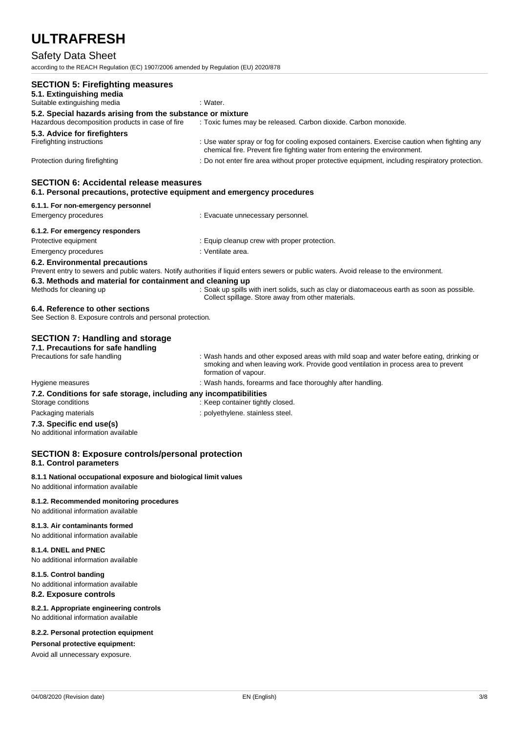## Safety Data Sheet

according to the REACH Regulation (EC) 1907/2006 amended by Regulation (EU) 2020/878

| <b>SECTION 5: Firefighting measures</b>                                                                                   |                                                                                                                                                                                                        |
|---------------------------------------------------------------------------------------------------------------------------|--------------------------------------------------------------------------------------------------------------------------------------------------------------------------------------------------------|
| 5.1. Extinguishing media                                                                                                  |                                                                                                                                                                                                        |
| Suitable extinguishing media                                                                                              | : Water.                                                                                                                                                                                               |
| 5.2. Special hazards arising from the substance or mixture<br>Hazardous decomposition products in case of fire            |                                                                                                                                                                                                        |
|                                                                                                                           | : Toxic fumes may be released. Carbon dioxide. Carbon monoxide.                                                                                                                                        |
| 5.3. Advice for firefighters                                                                                              |                                                                                                                                                                                                        |
| Firefighting instructions                                                                                                 | : Use water spray or fog for cooling exposed containers. Exercise caution when fighting any<br>chemical fire. Prevent fire fighting water from entering the environment.                               |
| Protection during firefighting                                                                                            | : Do not enter fire area without proper protective equipment, including respiratory protection.                                                                                                        |
| <b>SECTION 6: Accidental release measures</b><br>6.1. Personal precautions, protective equipment and emergency procedures |                                                                                                                                                                                                        |
| 6.1.1. For non-emergency personnel                                                                                        |                                                                                                                                                                                                        |
| <b>Emergency procedures</b>                                                                                               | : Evacuate unnecessary personnel.                                                                                                                                                                      |
| 6.1.2. For emergency responders                                                                                           |                                                                                                                                                                                                        |
| Protective equipment                                                                                                      | : Equip cleanup crew with proper protection.                                                                                                                                                           |
| <b>Emergency procedures</b>                                                                                               | : Ventilate area.                                                                                                                                                                                      |
| 6.2. Environmental precautions<br>6.3. Methods and material for containment and cleaning up                               | Prevent entry to sewers and public waters. Notify authorities if liquid enters sewers or public waters. Avoid release to the environment.                                                              |
| Methods for cleaning up                                                                                                   | : Soak up spills with inert solids, such as clay or diatomaceous earth as soon as possible.<br>Collect spillage. Store away from other materials.                                                      |
| 6.4. Reference to other sections<br>See Section 8. Exposure controls and personal protection.                             |                                                                                                                                                                                                        |
| <b>SECTION 7: Handling and storage</b><br>7.1. Precautions for safe handling                                              |                                                                                                                                                                                                        |
| Precautions for safe handling                                                                                             | : Wash hands and other exposed areas with mild soap and water before eating, drinking or<br>smoking and when leaving work. Provide good ventilation in process area to prevent<br>formation of vapour. |
| Hygiene measures                                                                                                          | : Wash hands, forearms and face thoroughly after handling.                                                                                                                                             |
| 7.2. Conditions for safe storage, including any incompatibilities<br>Storage conditions                                   | : Keep container tightly closed.                                                                                                                                                                       |
| Packaging materials                                                                                                       | : polyethylene. stainless steel.                                                                                                                                                                       |
| 7.3. Specific end use(s)<br>No additional information available                                                           |                                                                                                                                                                                                        |
| <b>SECTION 8: Exposure controls/personal protection</b><br>8.1. Control parameters                                        |                                                                                                                                                                                                        |
| 8.1.1 National occupational exposure and biological limit values<br>No additional information available                   |                                                                                                                                                                                                        |

### **8.1.2. Recommended monitoring procedures**

No additional information available

## **8.1.3. Air contaminants formed**

No additional information available

### **8.1.4. DNEL and PNEC**

No additional information available

## **8.1.5. Control banding**

No additional information available

## **8.2. Exposure controls**

**8.2.1. Appropriate engineering controls** No additional information available

#### **8.2.2. Personal protection equipment**

#### **Personal protective equipment:**

Avoid all unnecessary exposure.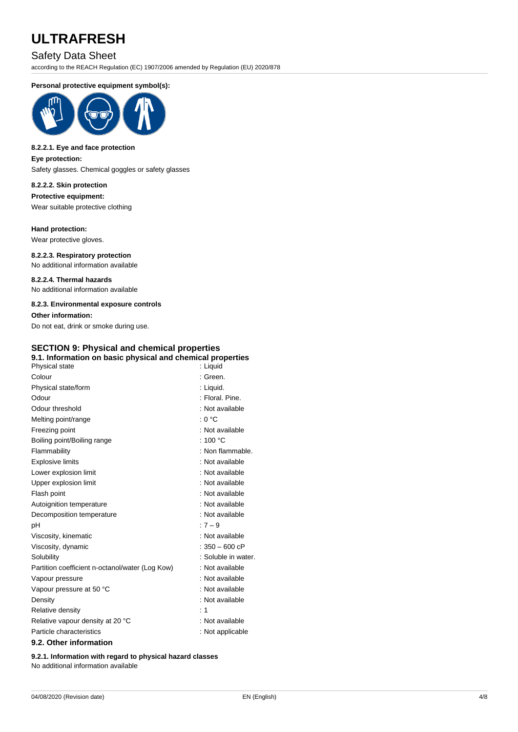## Safety Data Sheet

according to the REACH Regulation (EC) 1907/2006 amended by Regulation (EU) 2020/878

#### **Personal protective equipment symbol(s):**



#### **8.2.2.1. Eye and face protection**

**Eye protection:**

Safety glasses. Chemical goggles or safety glasses

#### **8.2.2.2. Skin protection**

**Protective equipment:** Wear suitable protective clothing

## **Hand protection:**

Wear protective gloves.

#### **8.2.2.3. Respiratory protection** No additional information available

**8.2.2.4. Thermal hazards** No additional information available

#### **8.2.3. Environmental exposure controls**

**Other information:** Do not eat, drink or smoke during use.

## **SECTION 9: Physical and chemical properties**

### **9.1. Information on basic physical and chemical properties**

| Physical state                                  | : Liquid            |
|-------------------------------------------------|---------------------|
| Colour                                          | : Green.            |
| Physical state/form                             | : Liquid.           |
| Odour                                           | : Floral, Pine.     |
| Odour threshold                                 | : Not available     |
| Melting point/range                             | : 0 °C              |
| Freezing point                                  | : Not available     |
| Boiling point/Boiling range                     | : $100 °C$          |
| Flammability                                    | : Non flammable.    |
| <b>Explosive limits</b>                         | : Not available     |
| Lower explosion limit                           | : Not available     |
| Upper explosion limit                           | : Not available     |
| Flash point                                     | : Not available     |
| Autoignition temperature                        | : Not available     |
| Decomposition temperature                       | : Not available     |
| рH                                              | $:7 - 9$            |
| Viscosity, kinematic                            | : Not available     |
| Viscosity, dynamic                              | $: 350 - 600$ cP    |
| Solubility                                      | : Soluble in water. |
| Partition coefficient n-octanol/water (Log Kow) | : Not available     |
| Vapour pressure                                 | : Not available     |
| Vapour pressure at 50 °C                        | : Not available     |
| Density                                         | : Not available     |
| Relative density                                | : 1                 |
| Relative vapour density at 20 °C                | : Not available     |
| Particle characteristics                        | : Not applicable    |
| 00 Other information                            |                     |

#### **9.2. Other information**

**9.2.1. Information with regard to physical hazard classes** No additional information available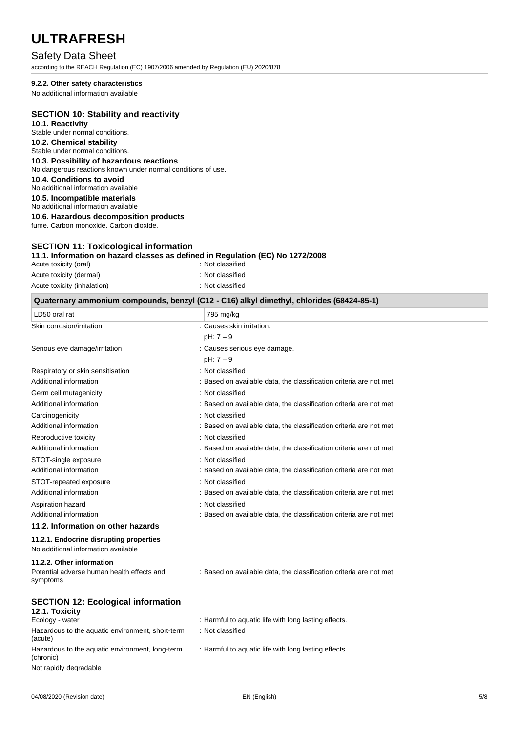## Safety Data Sheet

according to the REACH Regulation (EC) 1907/2006 amended by Regulation (EU) 2020/878

#### **9.2.2. Other safety characteristics**

No additional information available

### **SECTION 10: Stability and reactivity**

**10.1. Reactivity** Stable under normal conditions. **10.2. Chemical stability** Stable under normal conditions. **10.3. Possibility of hazardous reactions** No dangerous reactions known under normal conditions of use. **10.4. Conditions to avoid** No additional information available **10.5. Incompatible materials** No additional information available **10.6. Hazardous decomposition products** fume. Carbon monoxide. Carbon dioxide.

## **SECTION 11: Toxicological information**

#### **11.1. Information on hazard classes as defined in Regulation (EC) No 1272/2008**

| Acute toxicity (oral)       |  |
|-----------------------------|--|
| Acute toxicity (dermal)     |  |
| Acute toxicity (inhalation) |  |

| Quaternary ammonium compounds, benzyl (C12 - C16) alkyl dimethyl, chlorides (68424-85-1) |            |
|------------------------------------------------------------------------------------------|------------|
| ∣LD50 oral rat                                                                           | ⊺795 mg/kg |

: Not classified : Not classified : Not classified

| LDVV VIUI IUI                           | 100119709                                                          |
|-----------------------------------------|--------------------------------------------------------------------|
| Skin corrosion/irritation               | : Causes skin irritation.                                          |
|                                         | $pH: 7 - 9$                                                        |
| Serious eye damage/irritation           | : Causes serious eye damage.                                       |
|                                         | $pH: 7 - 9$                                                        |
| Respiratory or skin sensitisation       | : Not classified                                                   |
| Additional information                  | : Based on available data, the classification criteria are not met |
| Germ cell mutagenicity                  | : Not classified                                                   |
| Additional information                  | : Based on available data, the classification criteria are not met |
| Carcinogenicity                         | : Not classified                                                   |
| Additional information                  | : Based on available data, the classification criteria are not met |
| Reproductive toxicity                   | : Not classified                                                   |
| Additional information                  | : Based on available data, the classification criteria are not met |
| STOT-single exposure                    | : Not classified                                                   |
| Additional information                  | : Based on available data, the classification criteria are not met |
| STOT-repeated exposure                  | : Not classified                                                   |
| Additional information                  | : Based on available data, the classification criteria are not met |
| Aspiration hazard                       | : Not classified                                                   |
| Additional information                  | : Based on available data, the classification criteria are not met |
| 11.2. Information on other hazards      |                                                                    |
| 11.2.1. Endocrine disrupting properties |                                                                    |
| No additional information available     |                                                                    |

## **11.2.2. Other information**

| 11.2.2. Other information<br>Potential adverse human health effects and | : Based on available data, the classification criteria are not met |
|-------------------------------------------------------------------------|--------------------------------------------------------------------|
| symptoms                                                                |                                                                    |
| <b>SECTION 12: Ecological information</b><br>12.1. Toxicity             |                                                                    |
| Ecology - water                                                         | : Harmful to aquatic life with long lasting effects.               |
| Hazardous to the aquatic environment, short-term<br>(acute)             | : Not classified                                                   |
| Hazardous to the aquatic environment, long-term<br>(chronic)            | : Harmful to aquatic life with long lasting effects.               |
| Not rapidly degradable                                                  |                                                                    |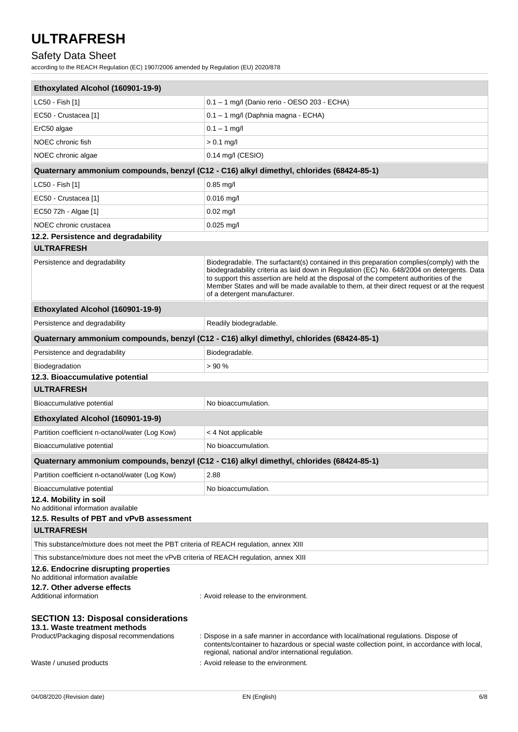## Safety Data Sheet

according to the REACH Regulation (EC) 1907/2006 amended by Regulation (EU) 2020/878

| Ethoxylated Alcohol (160901-19-9)                                                                                                                    |                                                                                                                                                                                                                                                                                                                                                                                                                 |
|------------------------------------------------------------------------------------------------------------------------------------------------------|-----------------------------------------------------------------------------------------------------------------------------------------------------------------------------------------------------------------------------------------------------------------------------------------------------------------------------------------------------------------------------------------------------------------|
| LC50 - Fish [1]                                                                                                                                      | 0.1 - 1 mg/l (Danio rerio - OESO 203 - ECHA)                                                                                                                                                                                                                                                                                                                                                                    |
| EC50 - Crustacea [1]                                                                                                                                 | 0.1 - 1 mg/l (Daphnia magna - ECHA)                                                                                                                                                                                                                                                                                                                                                                             |
| ErC50 algae                                                                                                                                          | $0.1 - 1$ mg/l                                                                                                                                                                                                                                                                                                                                                                                                  |
| NOEC chronic fish                                                                                                                                    | $> 0.1$ mg/l                                                                                                                                                                                                                                                                                                                                                                                                    |
| NOEC chronic algae                                                                                                                                   | $0.14$ mg/l (CESIO)                                                                                                                                                                                                                                                                                                                                                                                             |
|                                                                                                                                                      | Quaternary ammonium compounds, benzyl (C12 - C16) alkyl dimethyl, chlorides (68424-85-1)                                                                                                                                                                                                                                                                                                                        |
| LC50 - Fish [1]                                                                                                                                      | 0.85 mg/l                                                                                                                                                                                                                                                                                                                                                                                                       |
| EC50 - Crustacea [1]                                                                                                                                 | $0.016$ mg/l                                                                                                                                                                                                                                                                                                                                                                                                    |
| EC50 72h - Algae [1]                                                                                                                                 | $0.02$ mg/l                                                                                                                                                                                                                                                                                                                                                                                                     |
| NOEC chronic crustacea                                                                                                                               | $0.025$ mg/l                                                                                                                                                                                                                                                                                                                                                                                                    |
| 12.2. Persistence and degradability                                                                                                                  |                                                                                                                                                                                                                                                                                                                                                                                                                 |
| <b>ULTRAFRESH</b>                                                                                                                                    |                                                                                                                                                                                                                                                                                                                                                                                                                 |
| Persistence and degradability                                                                                                                        | Biodegradable. The surfactant(s) contained in this preparation complies(comply) with the<br>biodegradability criteria as laid down in Regulation (EC) No. 648/2004 on detergents. Data<br>to support this assertion are held at the disposal of the competent authorities of the<br>Member States and will be made available to them, at their direct request or at the request<br>of a detergent manufacturer. |
| Ethoxylated Alcohol (160901-19-9)                                                                                                                    |                                                                                                                                                                                                                                                                                                                                                                                                                 |
| Persistence and degradability                                                                                                                        | Readily biodegradable.                                                                                                                                                                                                                                                                                                                                                                                          |
|                                                                                                                                                      | Quaternary ammonium compounds, benzyl (C12 - C16) alkyl dimethyl, chlorides (68424-85-1)                                                                                                                                                                                                                                                                                                                        |
| Persistence and degradability                                                                                                                        | Biodegradable.                                                                                                                                                                                                                                                                                                                                                                                                  |
| Biodegradation                                                                                                                                       | >90%                                                                                                                                                                                                                                                                                                                                                                                                            |
| 12.3. Bioaccumulative potential                                                                                                                      |                                                                                                                                                                                                                                                                                                                                                                                                                 |
|                                                                                                                                                      |                                                                                                                                                                                                                                                                                                                                                                                                                 |
| <b>ULTRAFRESH</b>                                                                                                                                    |                                                                                                                                                                                                                                                                                                                                                                                                                 |
| Bioaccumulative potential                                                                                                                            | No bioaccumulation.                                                                                                                                                                                                                                                                                                                                                                                             |
| Ethoxylated Alcohol (160901-19-9)                                                                                                                    |                                                                                                                                                                                                                                                                                                                                                                                                                 |
| Partition coefficient n-octanol/water (Log Kow)                                                                                                      | < 4 Not applicable                                                                                                                                                                                                                                                                                                                                                                                              |
| Bioaccumulative potential                                                                                                                            | No bioaccumulation.                                                                                                                                                                                                                                                                                                                                                                                             |
|                                                                                                                                                      | Quaternary ammonium compounds, benzyl (C12 - C16) alkyl dimethyl, chlorides (68424-85-1)                                                                                                                                                                                                                                                                                                                        |
| Partition coefficient n-octanol/water (Log Kow)                                                                                                      | 2.88                                                                                                                                                                                                                                                                                                                                                                                                            |
| Bioaccumulative potential                                                                                                                            | No bioaccumulation.                                                                                                                                                                                                                                                                                                                                                                                             |
| 12.4. Mobility in soil<br>No additional information available<br>12.5. Results of PBT and vPvB assessment                                            |                                                                                                                                                                                                                                                                                                                                                                                                                 |
| <b>ULTRAFRESH</b>                                                                                                                                    |                                                                                                                                                                                                                                                                                                                                                                                                                 |
| This substance/mixture does not meet the PBT criteria of REACH regulation, annex XIII                                                                |                                                                                                                                                                                                                                                                                                                                                                                                                 |
| This substance/mixture does not meet the vPvB criteria of REACH regulation, annex XIII                                                               |                                                                                                                                                                                                                                                                                                                                                                                                                 |
| 12.6. Endocrine disrupting properties<br>No additional information available                                                                         |                                                                                                                                                                                                                                                                                                                                                                                                                 |
| 12.7. Other adverse effects<br>Additional information                                                                                                | : Avoid release to the environment.                                                                                                                                                                                                                                                                                                                                                                             |
| <b>SECTION 13: Disposal considerations</b><br>13.1. Waste treatment methods<br>Product/Packaging disposal recommendations<br>Waste / unused products | : Dispose in a safe manner in accordance with local/national regulations. Dispose of<br>contents/container to hazardous or special waste collection point, in accordance with local,<br>regional, national and/or international regulation.<br>: Avoid release to the environment.                                                                                                                              |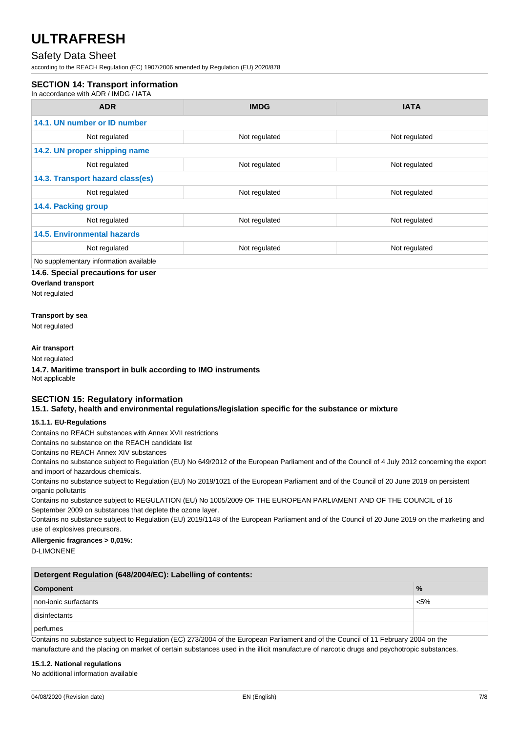## Safety Data Sheet

according to the REACH Regulation (EC) 1907/2006 amended by Regulation (EU) 2020/878

### **SECTION 14: Transport information**

In accordance with ADR / IMDG / IATA

| <b>ADR</b>                             | <b>IMDG</b>   | <b>IATA</b>   |
|----------------------------------------|---------------|---------------|
| 14.1. UN number or ID number           |               |               |
| Not regulated                          | Not regulated | Not regulated |
| 14.2. UN proper shipping name          |               |               |
| Not regulated                          | Not regulated | Not regulated |
| 14.3. Transport hazard class(es)       |               |               |
| Not regulated                          | Not regulated | Not regulated |
| 14.4. Packing group                    |               |               |
| Not regulated                          | Not regulated | Not regulated |
| <b>14.5. Environmental hazards</b>     |               |               |
| Not regulated                          | Not regulated | Not regulated |
| No supplementary information available |               |               |

#### **14.6. Special precautions for user**

**Overland transport**

Not regulated

#### **Transport by sea**

Not regulated

#### **Air transport**

Not regulated

**14.7. Maritime transport in bulk according to IMO instruments** Not applicable

#### **SECTION 15: Regulatory information 15.1. Safety, health and environmental regulations/legislation specific for the substance or mixture**

### **15.1.1. EU-Regulations**

Contains no REACH substances with Annex XVII restrictions

Contains no substance on the REACH candidate list

Contains no REACH Annex XIV substances

Contains no substance subject to Regulation (EU) No 649/2012 of the European Parliament and of the Council of 4 July 2012 concerning the export and import of hazardous chemicals.

Contains no substance subject to Regulation (EU) No 2019/1021 of the European Parliament and of the Council of 20 June 2019 on persistent organic pollutants

Contains no substance subject to REGULATION (EU) No 1005/2009 OF THE EUROPEAN PARLIAMENT AND OF THE COUNCIL of 16 September 2009 on substances that deplete the ozone layer.

Contains no substance subject to Regulation (EU) 2019/1148 of the European Parliament and of the Council of 20 June 2019 on the marketing and use of explosives precursors.

## **Allergenic fragrances > 0,01%:**

D-LIMONENE

| Detergent Regulation (648/2004/EC): Labelling of contents: |               |
|------------------------------------------------------------|---------------|
| Component                                                  | $\frac{9}{6}$ |
| non-ionic surfactants                                      | $< 5\%$       |
| disinfectants                                              |               |
| perfumes                                                   |               |

Contains no substance subject to Regulation (EC) 273/2004 of the European Parliament and of the Council of 11 February 2004 on the

manufacture and the placing on market of certain substances used in the illicit manufacture of narcotic drugs and psychotropic substances.

#### **15.1.2. National regulations**

No additional information available